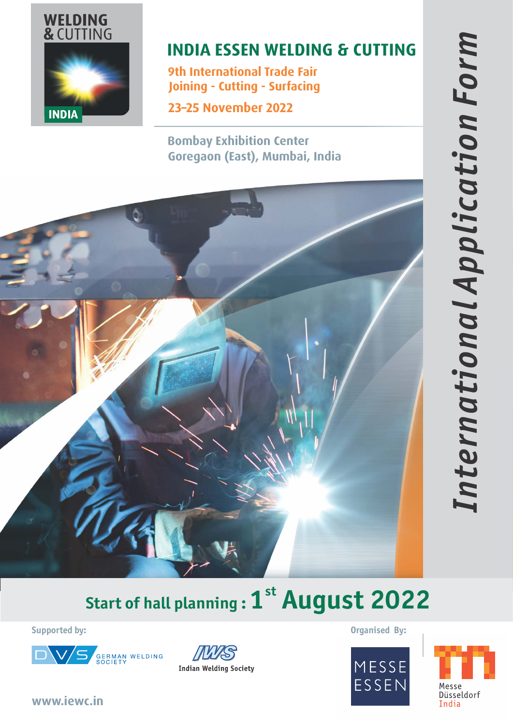

# **INDIA ESSEN WELDING & CUTTING**

**9th International Trade Fair Joining - Cutting - Surfacing**

**23–25 November 2022**

**Bombay Exhibition Center Goregaon (East), Mumbai, India**



# **st Start of hall planning : 1 August 2022**

**Supported by:**





**Organised By:**





**www.iewc.in**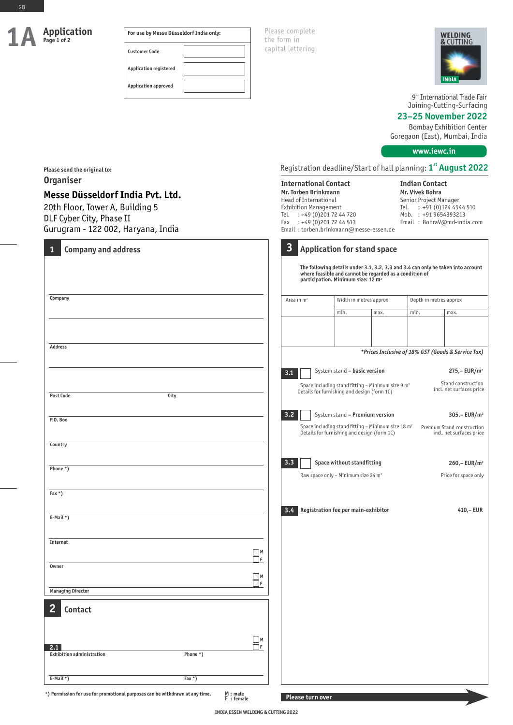**Please send the original to:**

**Messe Düsseldorf India Pvt. Ltd.**

**Organiser**

GB

| Application<br>Page 1 of 2 | For use by Messe Düsseldorf India only: | Please complete<br>the form in |
|----------------------------|-----------------------------------------|--------------------------------|
|                            | <b>Customer Code</b>                    | capital lettering              |
|                            | <b>Application registered</b>           |                                |
|                            | <b>Application approved</b>             |                                |

> **International Contact Mr. Torben Brinkmann** Head of International



9<sup>th</sup> International Trade Fair Joining-Cutting-Surfacing

# **23–25 November 2022**

Bombay Exhibition Center Goregaon (East), Mumbai, India

**www.iewc.in**

**Indian Contact Mr. Vivek Bohra** Senior Project Manager

Registration deadline/Start of hall planning: **st 1 August 2022**

| 20th Floor, Tower A, Building 5<br>DLF Cyber City, Phase II<br>Gurugram - 122 002, Haryana, India     | Tel.<br>Fax             | <b>Exhibition Management</b><br>: +49 (0) 201 72 44 720<br>: +49 (0) 201 72 44 513 | Email: torben.brinkmann@messe-essen.de                                                                                                          |      | Tel. | : +91 (0)124 4544 510<br>Mob. : +91 9654393213<br>Email: BohraV@md-india.com     |
|-------------------------------------------------------------------------------------------------------|-------------------------|------------------------------------------------------------------------------------|-------------------------------------------------------------------------------------------------------------------------------------------------|------|------|----------------------------------------------------------------------------------|
| <b>Company and address</b><br>1                                                                       | $\overline{\mathbf{3}}$ |                                                                                    | <b>Application for stand space</b><br>where feasible and cannot be regarded as a condition of<br>participation. Minimum size: 12 m <sup>2</sup> |      |      | The following details under 3.1, 3.2, 3.3 and 3.4 can only be taken into account |
| Company                                                                                               | Area in $m2$            |                                                                                    | Width in metres approx                                                                                                                          |      |      | Depth in metres approx                                                           |
|                                                                                                       |                         |                                                                                    | min.                                                                                                                                            | max. | min. | max.                                                                             |
| <b>Address</b>                                                                                        |                         |                                                                                    |                                                                                                                                                 |      |      | *Prices Inclusive of 18% GST (Goods & Service Tax)                               |
|                                                                                                       | 3.1                     |                                                                                    | System stand - basic version                                                                                                                    |      |      | $275 - EUR/m2$                                                                   |
| <b>Post Code</b><br>City                                                                              |                         |                                                                                    | Space including stand fitting - Minimum size 9 $m2$<br>Details for furnishing and design (form 1C)                                              |      |      | Stand construction<br>incl. net surfaces price                                   |
| P.O. Box                                                                                              | 3.2                     |                                                                                    | System stand - Premium version                                                                                                                  |      |      | $305 - EUR/m2$                                                                   |
|                                                                                                       |                         |                                                                                    | Space including stand fitting - Minimum size 18 m <sup>2</sup><br>Details for furnishing and design (form 1C)                                   |      |      | Premium Stand construction<br>incl. net surfaces price                           |
| Country                                                                                               |                         |                                                                                    |                                                                                                                                                 |      |      |                                                                                  |
| Phone *)                                                                                              | 3.3                     |                                                                                    | Space without standfitting                                                                                                                      |      |      | $260 - EUR/m2$                                                                   |
|                                                                                                       |                         |                                                                                    | Raw space only - Minimum size 24 $m2$                                                                                                           |      |      | Price for space only                                                             |
| Fax $*$ )                                                                                             |                         |                                                                                    |                                                                                                                                                 |      |      |                                                                                  |
| E-Mail $*)$                                                                                           | 3.4                     |                                                                                    | Registration fee per main-exhibitor                                                                                                             |      |      | 410,-EUR                                                                         |
|                                                                                                       |                         |                                                                                    |                                                                                                                                                 |      |      |                                                                                  |
| Internet                                                                                              |                         |                                                                                    |                                                                                                                                                 |      |      |                                                                                  |
| Owner                                                                                                 | $\Box$ M<br>$\Box$ f    |                                                                                    |                                                                                                                                                 |      |      |                                                                                  |
|                                                                                                       | $\Box$ M                |                                                                                    |                                                                                                                                                 |      |      |                                                                                  |
| <b>Managing Director</b>                                                                              | $\Box$ F                |                                                                                    |                                                                                                                                                 |      |      |                                                                                  |
| Contact                                                                                               |                         |                                                                                    |                                                                                                                                                 |      |      |                                                                                  |
|                                                                                                       | $\Box$ M                |                                                                                    |                                                                                                                                                 |      |      |                                                                                  |
| 2.1<br><b>Exhibition administration</b><br>Phone *)                                                   | $\Box$ f                |                                                                                    |                                                                                                                                                 |      |      |                                                                                  |
| E-Mail $*)$<br>Fax $*$ )                                                                              |                         |                                                                                    |                                                                                                                                                 |      |      |                                                                                  |
| *) Permission for use for promotional purposes can be withdrawn at any time.<br>M : male<br>F: female |                         | Please turn over                                                                   |                                                                                                                                                 |      |      |                                                                                  |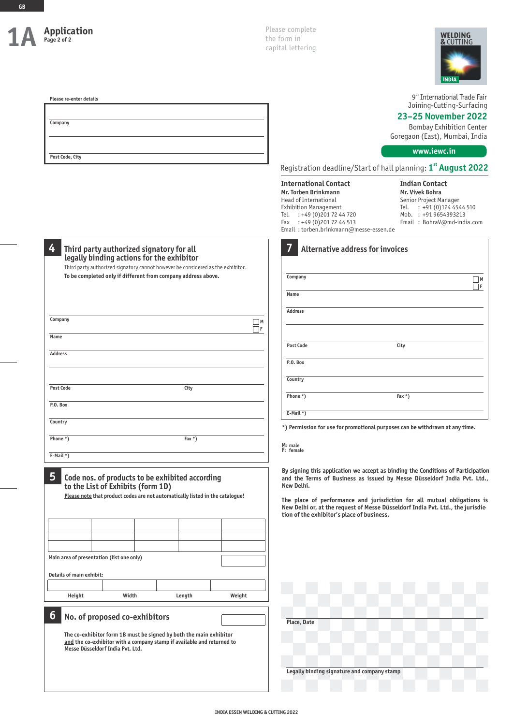| Application<br>Page 2 of 2                            |                                                                                                                                                                                                                                           |        |  |          | Please complete<br><b>WELDING</b><br>the form in<br>& CUTTING<br>capital lettering<br>INDIA                                                                                                                            |                                                                                                                                                                                                                                                                                                                            |  |  |
|-------------------------------------------------------|-------------------------------------------------------------------------------------------------------------------------------------------------------------------------------------------------------------------------------------------|--------|--|----------|------------------------------------------------------------------------------------------------------------------------------------------------------------------------------------------------------------------------|----------------------------------------------------------------------------------------------------------------------------------------------------------------------------------------------------------------------------------------------------------------------------------------------------------------------------|--|--|
| Please re-enter details<br>Company<br>Post Code, City |                                                                                                                                                                                                                                           |        |  |          |                                                                                                                                                                                                                        | 9 <sup>th</sup> International Trade Fair<br>Joining-Cutting-Surfacing<br>23-25 November 2022<br><b>Bombay Exhibition Center</b><br>Goregaon (East), Mumbai, India<br>www.iewc.in                                                                                                                                           |  |  |
|                                                       |                                                                                                                                                                                                                                           |        |  |          |                                                                                                                                                                                                                        | Registration deadline/Start of hall planning: 1 <sup>st</sup> August 2022                                                                                                                                                                                                                                                  |  |  |
|                                                       |                                                                                                                                                                                                                                           |        |  |          | <b>International Contact</b><br>Mr. Torben Brinkmann<br>Head of International<br><b>Exhibition Management</b><br>Tel. : +49 (0) 201 72 44 720<br>Fax : +49 (0) 201 72 44 513<br>Email: torben.brinkmann@messe-essen.de | <b>Indian Contact</b><br>Mr. Vivek Bohra<br>Senior Project Manager<br>Tel. : +91 (0) 124 4544 510<br>Mob. : +91 9654393213<br>Email: BohraV@md-india.com                                                                                                                                                                   |  |  |
| 4                                                     | Third party authorized signatory for all<br>legally binding actions for the exhibitor<br>Third party authorized signatory cannot however be considered as the exhibitor.<br>To be completed only if different from company address above. |        |  |          | <b>Alternative address for invoices</b><br>Company<br>Name                                                                                                                                                             | $\Box$ M<br>$\Box$ f                                                                                                                                                                                                                                                                                                       |  |  |
| Company                                               |                                                                                                                                                                                                                                           |        |  | $\Box$ M | Address                                                                                                                                                                                                                |                                                                                                                                                                                                                                                                                                                            |  |  |
| Name                                                  |                                                                                                                                                                                                                                           |        |  | □F       |                                                                                                                                                                                                                        |                                                                                                                                                                                                                                                                                                                            |  |  |
| Address                                               |                                                                                                                                                                                                                                           |        |  |          | <b>Post Code</b>                                                                                                                                                                                                       | City                                                                                                                                                                                                                                                                                                                       |  |  |
|                                                       |                                                                                                                                                                                                                                           |        |  |          | P.O. Box                                                                                                                                                                                                               |                                                                                                                                                                                                                                                                                                                            |  |  |
| <b>Post Code</b>                                      |                                                                                                                                                                                                                                           | City   |  |          | Country<br>Phone *)                                                                                                                                                                                                    | Fax $*$ )                                                                                                                                                                                                                                                                                                                  |  |  |
| P.O. Box                                              |                                                                                                                                                                                                                                           |        |  |          | E-Mail $*)$                                                                                                                                                                                                            |                                                                                                                                                                                                                                                                                                                            |  |  |
| Country                                               |                                                                                                                                                                                                                                           |        |  |          |                                                                                                                                                                                                                        | *) Permission for use for promotional purposes can be withdrawn at any time.                                                                                                                                                                                                                                               |  |  |
| Phone *)<br>Fax $*$ )                                 |                                                                                                                                                                                                                                           |        |  |          | M: male                                                                                                                                                                                                                |                                                                                                                                                                                                                                                                                                                            |  |  |
| E-Mail *)                                             |                                                                                                                                                                                                                                           |        |  |          | F: female                                                                                                                                                                                                              |                                                                                                                                                                                                                                                                                                                            |  |  |
| 5                                                     | Code nos. of products to be exhibited according<br>to the List of Exhibits (form 1D)<br>Please note that product codes are not automatically listed in the catalogue!                                                                     |        |  |          | New Delhi.<br>tion of the exhibitor's place of business.                                                                                                                                                               | By signing this application we accept as binding the Conditions of Participation<br>and the Terms of Business as issued by Messe Düsseldorf India Pvt. Ltd.,<br>The place of performance and jurisdiction for all mutual obligations is<br>New Delhi or, at the request of Messe Düsseldorf India Pvt. Ltd., the jurisdic- |  |  |
|                                                       |                                                                                                                                                                                                                                           |        |  |          |                                                                                                                                                                                                                        |                                                                                                                                                                                                                                                                                                                            |  |  |
|                                                       |                                                                                                                                                                                                                                           |        |  |          |                                                                                                                                                                                                                        |                                                                                                                                                                                                                                                                                                                            |  |  |
| Main area of presentation (list one only)             |                                                                                                                                                                                                                                           |        |  |          |                                                                                                                                                                                                                        |                                                                                                                                                                                                                                                                                                                            |  |  |
| Details of main exhibit:                              |                                                                                                                                                                                                                                           |        |  |          |                                                                                                                                                                                                                        |                                                                                                                                                                                                                                                                                                                            |  |  |
| Height                                                | Width                                                                                                                                                                                                                                     | Length |  | Weight   |                                                                                                                                                                                                                        |                                                                                                                                                                                                                                                                                                                            |  |  |
| 6                                                     | No. of proposed co-exhibitors<br>The co-exhibitor form 1B must be signed by both the main exhibitor<br>and the co-exhibitor with a company stamp if available and returned to                                                             |        |  |          | Place, Date                                                                                                                                                                                                            |                                                                                                                                                                                                                                                                                                                            |  |  |
|                                                       | Messe Düsseldorf India Pvt. Ltd.                                                                                                                                                                                                          |        |  |          |                                                                                                                                                                                                                        |                                                                                                                                                                                                                                                                                                                            |  |  |
|                                                       |                                                                                                                                                                                                                                           |        |  |          | Legally binding signature and company stamp                                                                                                                                                                            |                                                                                                                                                                                                                                                                                                                            |  |  |
|                                                       |                                                                                                                                                                                                                                           |        |  |          |                                                                                                                                                                                                                        |                                                                                                                                                                                                                                                                                                                            |  |  |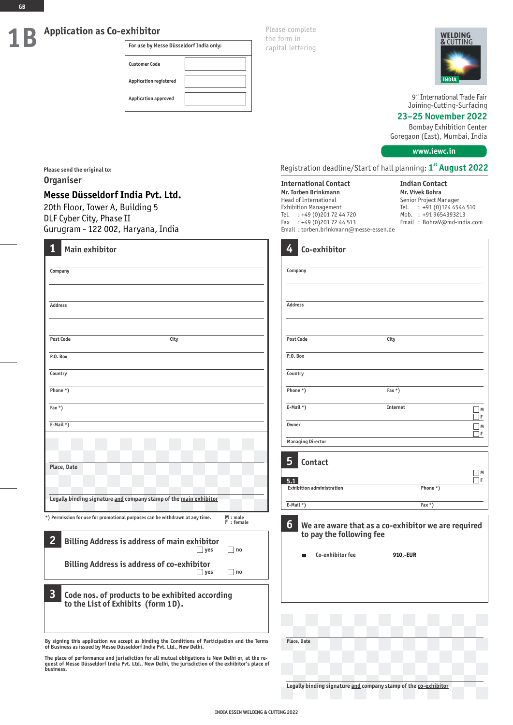# **Application as Co-exhibitor**

**For use by Messe Düsseldorf India only: Customer Code Application registered Application approved**

Please complete the form in capital lettering



9<sup>th</sup> International Trade Fair Joining-Cutting-Surfacing

# **23–25 November 2022**

Bombay Exhibition Center Goregaon (East), Mumbai, India

**www.iewc.in**

Registration deadline/Start of hall planning: **st 1 August 2022**

**International Contact Mr. Torben Brinkmann** Head of International Exhibition Management Tel. : +49 (0) 201 72 44 720<br>Fax : +49 (0) 201 72 44 513  $: +49(0)2017244513$ Email : torben.brinkmann@messe-essen.de **Indian Contact Mr. Vivek Bohra** Senior Project Manager Tel. : +91 (0)124 4544 510 Mob. : +91 9654393213 Email : BohraV@md-india.com

|                                                                                                                   | 4<br>Co-exhibitor                                      |                                                                 |         |
|-------------------------------------------------------------------------------------------------------------------|--------------------------------------------------------|-----------------------------------------------------------------|---------|
|                                                                                                                   | Company                                                |                                                                 |         |
|                                                                                                                   | <b>Address</b>                                         |                                                                 |         |
| City                                                                                                              | <b>Post Code</b>                                       | City                                                            |         |
|                                                                                                                   | P.O. Box                                               |                                                                 |         |
|                                                                                                                   | Country                                                |                                                                 |         |
|                                                                                                                   | Phone *)                                               | Fax $*$ )                                                       |         |
|                                                                                                                   | $E-Mail *$ )                                           | Internet                                                        | M<br>٦F |
|                                                                                                                   | <b>Owner</b>                                           |                                                                 | M<br>₫F |
|                                                                                                                   | <b>Managing Director</b>                               |                                                                 |         |
|                                                                                                                   | 5<br>Contact<br>5.1                                    |                                                                 | M<br>ΠF |
|                                                                                                                   | <b>Exhibition administration</b>                       | Phone *)                                                        |         |
| o of the main exhibitor                                                                                           | $E-Mail *$                                             | Fax $*$ )                                                       |         |
| withdrawn at any time.<br>M : male<br>F : female<br>f main exhibitor<br>$\Box$ yes<br>$\Box$ no<br>f co-exhibitor | 6<br>to pay the following fee<br>Co-exhibitor fee<br>г | We are aware that as a co-exhibitor we are required<br>910,-EUR |         |
| $\Box$ no<br>$\Box$ yes                                                                                           |                                                        |                                                                 |         |
| exhibited according<br>$n 1D$ ).                                                                                  |                                                        |                                                                 |         |
|                                                                                                                   |                                                        |                                                                 |         |
| the Conditions of Participation and the Terms<br>t. Ltd., New Delhi.                                              | Place, Date                                            |                                                                 |         |
| nutual obligations is New Delhi or, at the re-<br>lhi, the jurisdiction of the exhibitor's place of               |                                                        |                                                                 |         |
|                                                                                                                   |                                                        | Legally binding signature and company stamp of the co-exhibitor |         |

**Please send the original to: Organiser**

# **Messe Düsseldorf India Pvt. Ltd.**

20th Floor, Tower A, Building 5 DLF Cyber City, Phase II Gurugram - 122 002, Haryana, India

| 1<br><b>Main exhibitor</b>                                                                                       |  |  |  |  |  |  |
|------------------------------------------------------------------------------------------------------------------|--|--|--|--|--|--|
| Company                                                                                                          |  |  |  |  |  |  |
|                                                                                                                  |  |  |  |  |  |  |
| <b>Address</b>                                                                                                   |  |  |  |  |  |  |
|                                                                                                                  |  |  |  |  |  |  |
| <b>Post Code</b><br>City                                                                                         |  |  |  |  |  |  |
| P.O. Box                                                                                                         |  |  |  |  |  |  |
| Country                                                                                                          |  |  |  |  |  |  |
| Phone *)                                                                                                         |  |  |  |  |  |  |
| Fax $*$ )                                                                                                        |  |  |  |  |  |  |
| $E-Mail *$ )                                                                                                     |  |  |  |  |  |  |
|                                                                                                                  |  |  |  |  |  |  |
| Place, Date                                                                                                      |  |  |  |  |  |  |
|                                                                                                                  |  |  |  |  |  |  |
| Legally binding signature and company stamp of the main exhibitor                                                |  |  |  |  |  |  |
| M : male<br>*) Permission for use for promotional purposes can be withdrawn at any time.<br>F : female           |  |  |  |  |  |  |
| $\overline{2}$<br><b>Billing Address is address of main exhibitor</b><br>yes<br>□ no                             |  |  |  |  |  |  |
| <b>Billing Address is address of co-exhibitor</b><br>$\sqcap$ no<br>$ $ yes                                      |  |  |  |  |  |  |
| $\overline{\mathbf{3}}$<br>Code nos. of products to be exhibited according<br>to the List of Exhibits (form 1D). |  |  |  |  |  |  |
|                                                                                                                  |  |  |  |  |  |  |

**By signing this application we accept as binding the Conditions of Participation and the Terms Place, Date of Business as issued by Messe Düsseldorf India Pvt. Ltd., New Delhi.**

The place of performance and jurisdiction for all mutual obligations is New Delhi or, at the re-<br>quest of Messe Düsseldorf India Pvt. Ltd., New Delhi, the jurisdiction of the exhibitor's place of<br>business.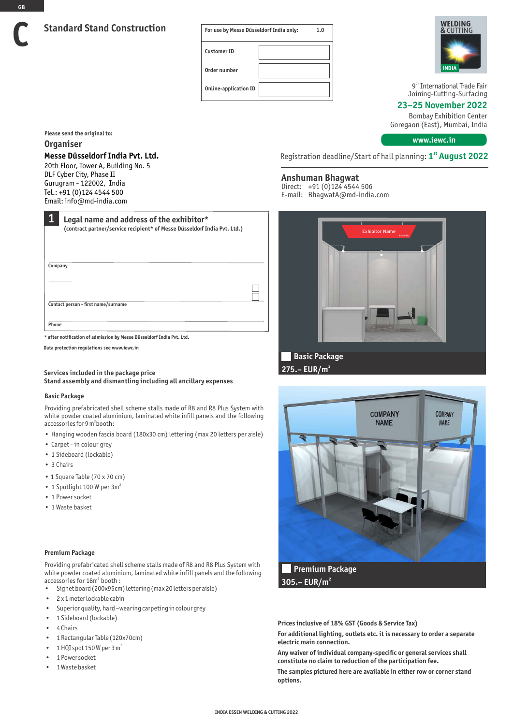| For use by Messe Düsseldorf India only: | 1.0 |
|-----------------------------------------|-----|
| <b>Customer ID</b>                      |     |
| Order number                            |     |
| <b>Online-application ID</b>            |     |



9<sup>th</sup> International Trade Fair Joining-Cutting-Surfacing

**23–25 November 2022**

Bombay Exhibition Center Goregaon (East), Mumbai, India

**www.iewc.in**

**Please send the original to:**

# **Organiser**

**GB**

**C**

# **Messe Düsseldorf India Pvt. Ltd.**

20th Floor, Tower A, Building No. 5 DLF Cyber City, Phase II Gurugram - 122002, India Tel.: +91 (0)124 4544 500 Email: info@md-india.com

| 1<br>Legal name and address of the exhibitor*<br>(contract partner/service recipient* of Messe Düsseldorf India Pvt. Ltd.) |  |
|----------------------------------------------------------------------------------------------------------------------------|--|
|                                                                                                                            |  |
|                                                                                                                            |  |
| Company                                                                                                                    |  |
|                                                                                                                            |  |
| Contact person - first name/surname                                                                                        |  |
| Phone                                                                                                                      |  |
| * after notification of admission by Messe Düsseldorf India Pyt. Ltd.                                                      |  |

**Data protection regulations see www.iewc.in**

# **Services included in the package price Stand assembly and dismantling including all ancillary expenses**

#### **Basic Package**

Providing prefabricated shell scheme stalls made of R8 and R8 Plus System with white powder coated aluminium, laminated white infill panels and the following accessories for 9 m<sup>2</sup>booth:

- Hanging wooden fascia board (180x30 cm) lettering (max 20 letters per aisle)
- Carpet in colour grey
- 1 Sideboard (lockable)
- 3 Chairs
- 1 Square Table (70 x 70 cm)
- $\cdot$  1 Spotlight 100 W per 3m<sup>2</sup>
- 1 Power socket
- 1 Waste basket

#### **Premium Package**

Providing prefabricated shell scheme stalls made of R8 and R8 Plus System with white powder coated aluminium, laminated white infill panels and the following accessories for 18m<sup>2</sup> booth :

- Signet board (200x95cm) lettering (max 20 letters per aisle)
- 2 x 1 meter lockable cabin
- Superior quality, hard –wearing carpeting in colour grey
- 1 Sideboard (lockable)
- 4 Chairs
- 1 Rectangular Table (120x70cm)
- 1 HQI spot 150 W per 3  $m<sup>2</sup>$
- 1 Power socket
- 1 Waste basket

Registration deadline/Start of hall planning: **st 1 August 2022**

# **Anshuman Bhagwat**

Direct: +91 (0)124 4544 506 E-mail: BhagwatA@md-india.com



**2 275.– EUR/m**



**2 305.– EUR/m**

**Prices inclusive of 18% GST (Goods & Service Tax)** 

**For additional lighting, outlets etc. it is necessary to order a separate electric main connection.** 

**Any waiver of individual company-specific or general services shall constitute no claim to reduction of the participation fee.** 

**The samples pictured here are available in either row or corner stand options.**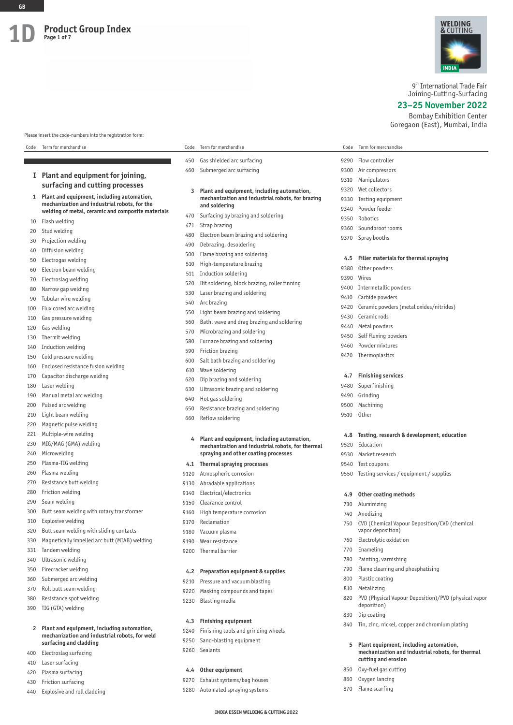

9<sup>th</sup> International Trade Fair Joining-Cutting-Surfacing

**23–25 November 2022**

Bombay Exhibition Center Goregaon (East), Mumbai, India

Please insert the code-numbers into the registration form:

| Code         | Term for merchandise                                                                              | Code | Term for merchandise                             | Code | Term for merchandise                              |
|--------------|---------------------------------------------------------------------------------------------------|------|--------------------------------------------------|------|---------------------------------------------------|
|              |                                                                                                   | 450  | Gas shielded arc surfacing                       | 9290 | Flow controller                                   |
|              |                                                                                                   | 460  | Submerged arc surfacing                          | 9300 | Air compressors                                   |
|              | I Plant and equipment for joining,                                                                |      |                                                  | 9310 | Manipulators                                      |
|              | surfacing and cutting processes                                                                   | 3    | Plant and equipment, including automation,       | 9320 | Wet collectors                                    |
| $\mathbf{1}$ | Plant and equipment, including automation,                                                        |      | mechanization and industrial robots, for brazing | 9330 | Testing equipment                                 |
|              | mechanization and industrial robots, for the<br>welding of metal, ceramic and composite materials |      | and soldering                                    | 9340 | Powder feeder                                     |
| 10           | Flash welding                                                                                     | 470  | Surfacing by brazing and soldering               | 9350 | Robotics                                          |
| 20           | Stud welding                                                                                      | 471  | Strap brazing                                    | 9360 | Soundproof rooms                                  |
| 30           | Projection welding                                                                                | 480  | Electron beam brazing and soldering              | 9370 | Spray booths                                      |
| 40           | Diffusion welding                                                                                 | 490  | Debrazing, desoldering                           |      |                                                   |
| 50           | Electrogas welding                                                                                | 500  | Flame brazing and soldering                      | 4.5  | Filler materials for thermal spraying             |
| 60           | Electron beam welding                                                                             | 510  | High-temperature brazing                         | 9380 | Other powders                                     |
| 70           | Electroslag welding                                                                               | 511  | Induction soldering                              | 9390 | Wires                                             |
|              | Narrow gap welding                                                                                | 520  | Bit soldering, block brazing, roller tinning     | 9400 | Intermetallic powders                             |
| 80           | Tubular wire welding                                                                              | 530  | Laser brazing and soldering                      | 9410 | Carbide powders                                   |
| 90           |                                                                                                   | 540  | Arc brazing                                      | 9420 | Ceramic powders (metal oxides/nitrides)           |
| 100          | Flux cored arc welding                                                                            | 550  | Light beam brazing and soldering                 | 9430 | Ceramic rods                                      |
| 110          | Gas pressure welding                                                                              | 560  | Bath, wave and drag brazing and soldering        | 9440 | Metal powders                                     |
| 120          | Gas welding                                                                                       | 570  | Microbrazing and soldering                       | 9450 | Self Fluxing powders                              |
| 130          | Thermit welding                                                                                   | 580  | Furnace brazing and soldering                    | 9460 | Powder mixtures                                   |
| 140          | Induction welding                                                                                 | 590  | Friction brazing                                 | 9470 | Thermoplastics                                    |
| 150          | Cold pressure welding                                                                             | 600  | Salt bath brazing and soldering                  |      |                                                   |
| 160          | Enclosed resistance fusion welding                                                                | 610  | Wave soldering                                   |      |                                                   |
| 170          | Capacitor discharge welding                                                                       | 620  | Dip brazing and soldering                        | 4.7  | <b>Finishing services</b>                         |
| 180          | Laser welding                                                                                     | 630  | Ultrasonic brazing and soldering                 | 9480 | Superfinishing                                    |
| 190          | Manual metal arc welding                                                                          | 640  | Hot gas soldering                                | 9490 | Grinding                                          |
| 200          | Pulsed arc welding                                                                                | 650  | Resistance brazing and soldering                 | 9500 | Machining                                         |
| 210          | Light beam welding                                                                                | 660  | Reflow soldering                                 | 9510 | Other                                             |
| 220          | Magnetic pulse welding                                                                            |      |                                                  |      |                                                   |
| 221          | Multiple-wire welding                                                                             | 4    | Plant and equipment, including automation,       | 4.8  | Testing, research & development, education        |
| 230          | MIG/MAG (GMA) welding                                                                             |      | mechanization and industrial robots, for thermal | 9520 | Education                                         |
| 240          | Microwelding                                                                                      |      | spraying and other coating processes             | 9530 | Market research                                   |
| 250          | Plasma-TIG welding                                                                                |      | 4.1 Thermal spraying processes                   | 9540 | Test coupons                                      |
| 260          | Plasma welding                                                                                    | 9120 | Atmospheric corrosion                            | 9550 | Testing services / equipment / supplies           |
| 270          | Resistance butt welding                                                                           | 9130 | Abradable applications                           |      |                                                   |
| 280          | Friction welding                                                                                  | 9140 | Electrical/electronics                           | 4.9  | Other coating methods                             |
| 290          | Seam welding                                                                                      | 9150 | Clearance control                                | 730  | Aluminizing                                       |
| 300          | Butt seam welding with rotary transformer                                                         | 9160 | High temperature corrosion                       | 740  | Anodizing                                         |
| 310          | Explosive welding                                                                                 | 9170 | Reclamation                                      |      | 750 CVD (Chemical Vapour Deposition/CVD (chemical |
| 320          | Butt seam welding with sliding contacts                                                           | 9180 | Vacuum plasma                                    |      | vapor deposition)                                 |
| 330          | Magnetically impelled arc butt (MIAB) welding                                                     | 9190 | Wear resistance                                  | 760  | Electrolytic oxidation                            |
| 331          | Tandem welding                                                                                    | 9200 | Thermal barrier                                  | 770  | Enameling                                         |
| 340          | Ultrasonic welding                                                                                |      |                                                  | 780  | Painting, varnishing                              |
| 350          | Firecracker welding                                                                               | 4.2  | Preparation equipment & supplies                 | 790  | Flame cleaning and phosphatising                  |
| 360          | Submerged arc welding                                                                             | 9210 | Pressure and vacuum blasting                     | 800  | Plastic coating                                   |
| 370          | Roll butt seam welding                                                                            |      | 9220 Masking compounds and tanes                 |      | 810 Metallizing                                   |

- 
- 380 Resistance spot welding
- 390 TIG (GTA) welding
	- **2 Plant and equipment, including automation, mechanization and industrial robots, for weld surfacing and cladding**
- 400 Electroslag surfacing
- 410 Laser surfacing
- 420 Plasma surfacing
- 430 Friction surfacing
- 440 Explosive and roll cladding
- 9220 Masking compounds and tapes
- 9230 Blasting media

# **4.3 Finishing equipment**

- 9240 Finishing tools and grinding wheels
- 9250 Sand-blasting equipment
- 9260 Sealants

#### **4.4 Other equipment**

- 9270 Exhaust systems/bag houses
- 9280 Automated spraying systems
	- **INDIA ESSEN WELDING & CUTTING 2022**

# 830 Dip coating 840 Tin, zinc, nickel, copper and chromium plating

820 PVD (Physical Vapour Deposition)/PVD (physical vapor

- **5 Plant equipment, including automation, mechanization and industrial robots, for thermal cutting and erosion**
- 850 Oxy-fuel gas cutting

deposition)

- 860 Oxygen lancing
- 870 Flame scarfing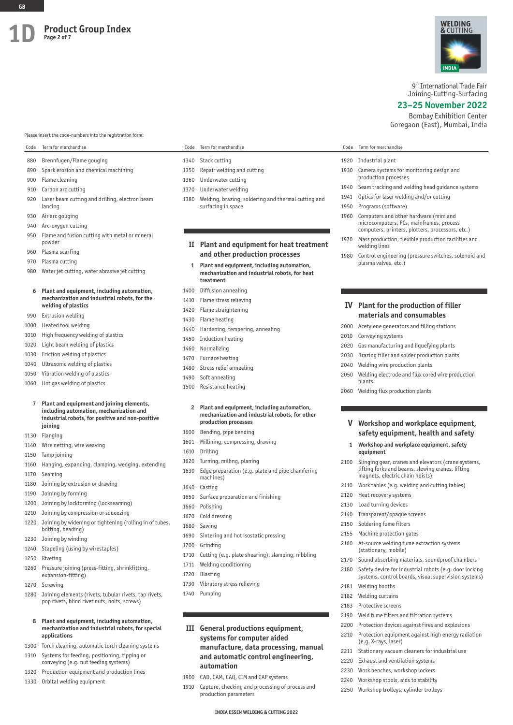#### Please insert the code-numbers into the registration form:

- 880 Brennfugen/Flame gouging
- 890 Spark erosion and chemical machining
- 900 Flame cleaning
- 910 Carbon arc cutting
- 920 Laser beam cutting and drilling, electron beam lancing
- 930 Air arc gouging
- 940 Arc-oxygen cutting
- 950 Flame and fusion cutting with metal or mineral powder
- 960 Plasma scarfing
- 970 Plasma cutting
- 980 Water jet cutting, water abrasive jet cutting

# **6 Plant and equipment, including automation, mechanization and industrial robots, for the welding of plastics**

- 990 Extrusion welding
- 1000 Heated tool welding
- 1010 High frequency welding of plastics
- 1020 Light beam welding of plastics
- 1030 Friction welding of plastics
- 1040 Ultrasonic welding of plastics
- 1050 Vibration welding of plastics
- 1060 Hot gas welding of plastics

#### **7 Plant and equipment and joining elements, including automation, mechanization and industrial robots, for positive and non-positive joining**

- 1130 Flanging
- 1140 Wire netting, wire weaving
- 1150 Tamp joining
- 1160 Hanging, expanding, clamping, wedging, extending
- 1170 Seaming
- 1180 Joining by extrusion or drawing
- 1190 Joining by forming
- 1200 Joining by lockforming (lockseaming)
- 1210 Joining by compression or squeezing 1220 Joining by widening or tightening (rolling in of tubes,
- botting, beading)
- 1230 Joining by winding
- 1240 Stapeling (using by wirestaples)
- 1250 Riveting
- 1260 Pressure joining (press-fitting, shrinkfitting, expansion-fitting)
- 1270 Screwing
- 1280 Joining elements (rivets, tubular rivets, tap rivets, pop rivets, blind rivet nuts, bolts, screws)
	- **8 Plant and equipment, including automation, mechanization and industrial robots, for special applications**
- 1300 Torch cleaning, automatic torch cleaning systems
- 1310 Systems for feeding, positioning, tipping or conveying (e.g. nut feeding systems)
- 1320 Production equipment and production lines
- 1330 Orbital welding equipment

#### Code Term for merchandise Code Term for merchandise Code Term for merchandise

- 1340 Stack cutting
- 1350 Repair welding and cutting
- 1360 Underwater cutting
- 1370 Underwater welding
- 1380 Welding, brazing, soldering and thermal cutting and surfacing in space

# **II Plant and equipment for heat treatment and other production processes**

- **1 Plant and equipment, including automation, mechanization and industrial robots, for heat treatment**
- 1400 Diffusion annealing
- 1410 Flame stress relieving
- 1420 Flame straightening
- 1430 Flame heating
- 1440 Hardening, tempering, annealing
- 1450 Induction heating
- 1460 Normalizing
- 1470 Furnace heating
- 1480 Stress relief annealing
- 1490 Soft annealing
- 1500 Resistance heating

#### **2 Plant and equipment, including automation, mechanization and industrial robots, for other production processes**

#### 1600 Bending, pipe bending

- 1601 Millining, compressing, drawing
- 1610 Drilling
- 1620 Turning, milling, planing
- 1630 Edge preparation (e.g. plate and pipe chamfering machines)
- 1640 Casting
- 1650 Surface preparation and finishing
- 1660 Polishing
- 1670 Cold dressing
- 1680 Sawing
- 1690 Sintering and hot isostatic pressing
- 1700 Grinding
- 1710 Cutting (e.g. plate shearing), slamping, nibbling
- 1711 Welding conditioning
- 1720 Blasting
- 1730 Vibratory stress relieving
- 1740 Pumping

# **III General productions equipment, systems for computer aided manufacture, data processing, manual and automatic control engineering, automation**

- 1900 CAD, CAM, CAQ, CIM and CAP systems
- 1910 Capture, checking and processing of process and production parameters



9<sup>th</sup> International Trade Fair Joining-Cutting-Surfacing

#### **23–25 November 2022**

Bombay Exhibition Center Goregaon (East), Mumbai, India

- 1920 Industrial plant
- 1930 Camera systems for monitoring design and production processes
- 1940 Seam tracking and welding head guidance systems
- 1941 Optics for laser welding and/or cutting
- 1950 Programs (software)
- 1960 Computers and other hardware (mini and microcomputers, PCs, mainframes, process computers, printers, plotters, processors, etc.)
- 1970 Mass production, flexible production facilities and welding lines
- 1980 Control engineering (pressure switches, solenoid and plasma valves, etc.)

# **IV Plant for the production of filler materials and consumables**

2000 Acetylene generators and filling stations

2020 Gas manufacturing and liquefying plants 2030 Brazing filler and solder production plants 2040 Welding wire production plants

2060 Welding flux production plants

2050 Welding electrode and flux cored wire production

**V Workshop and workplace equipment, safety equipment, health and safety 1 Workshop and workplace equipment, safety** 

2100 Slinging gear, cranes and elevators (crane systems, lifting forks and beams, slewing cranes, lifting

magnets, electric chain hoists) 2110 Work tables (e.g. welding and cutting tables)

2160 At-source welding fume extraction systems

2190 Weld fume filters and filtration systems 2200 Protection devices against fires and explosions 2210 Protection equipment against high energy radiation

2211 Stationary vacuum cleaners for industrial use

2170 Sound absorbing materials, soundproof chambers 2180 Safety device for industrial robots (e.g. door locking systems, control boards, visual supervision systems)

2010 Conveying systems

plants

**equipment**

2120 Heat recovery systems 2130 Load turning devices 2140 Transparent/opaque screens 2150 Soldering fume filters 2155 Machine protection gates

(stationary, mobile)

(e.g. X-rays, laser)

2220 Exhaust and ventilation systems 2230 Work benches, workshop lockers 2240 Workshop stools, aids to stability 2250 Workshop trolleys, cylinder trolleys

2181 Welding booths 2182 Welding curtains 2183 Protective screens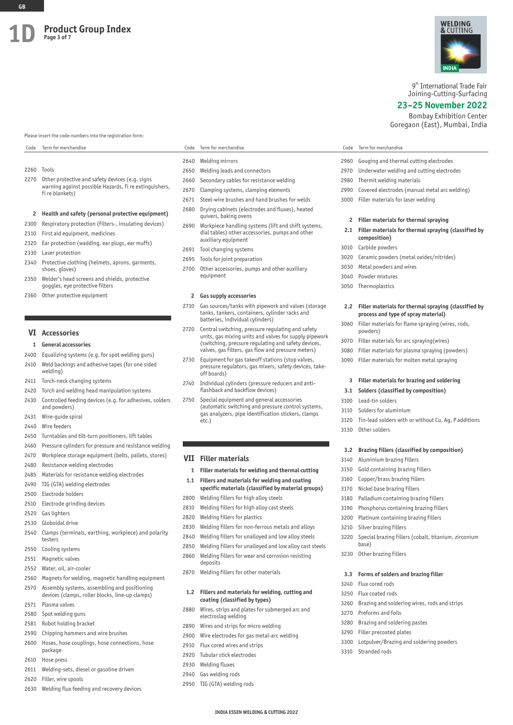#### Please insert the code-numbers into the registration form:

# 2260 Tools 2270 Other protective and safety devices (e.g. signs warning against possible Hazards, fi re extinguishers, fi re blankets)

# **2 Health and safety (personal protective equipment)**

- 2300 Respiratory protection (filters-, insulating devices)
- 2310 First aid equipment, medicines
- 2320 Ear protection (wadding, ear plugs, ear muffs)
- 2330 Laser protection
- 2340 Protective clothing (helmets, aprons, garments, shoes, gloves)
- 2350 Welder's head screens and shields, protective goggles, eye protective filters
- 2360 Other protective equipment

## **VI Accessories**

#### **1 General accessories**

- 2400 Equalizing systems (e.g. for spot welding guns)
- 2410 Weld backings and adhesive tapes (for one sided welding)
- 2411 Torch-neck changing systems
- 2420 Torch and welding head manipulation systems 2430 Controlled feeding devices (e.g. for adhesives, solders
- and powders) 2431 Wire-guide spiral
- 2440 Wire feeders
- 2450 Turntables and tilt-turn positioners, lift tables
- 2460 Pressure cylinders for pressure and resistance welding
- 2470 Workpiece storage equipment (belts, pallets, stores)
- 2480 Resistance welding electrodes
- 2485 Materials for resistance welding electrodes
- 2490 TIG (GTA) welding electrodes
- 2500 Electrode holders
- 2510 Electrode grinding devices
- 2520 Gas lighters
- 2530 Globoidal drive
- 2540 Clamps (terminals, earthing, workpiece) and polarity testers
- 2550 Cooling systems
- 2551 Magnetic valves
- 2552 Water, oil, air-cooler
- 2560 Magnets for welding, magnetic handling equipment
- 2570 Assembly systems, assembling and positioning devices (clamps, roller blocks, line-up clamps)
- 2571 Plasma valves
- 2580 Spot welding guns
- 2581 Robot holding bracket
- 2590 Chipping hammers and wire brushes
- 2600 Hoses, hose couplings, hose connections, hose package
- 2610 Hose press
- 2611 Welding-sets, diesel or gasoline driven
- 2620 Filler, wire spools
- 2630 Welding flux feeding and recovery devices

#### Code Term for merchandise Code Term for merchandise Code Term for merchandise

- 2640 Welding mirrors
- 2650 Welding leads and connectors
- 2660 Secondary cables for resistance welding
- 2670 Clamping systems, clamping elements
- 2671 Steel-wire brushes and hand brushes for welds
- 2680 Drying cabinets (electrodes and fluxes), heated quivers, baking ovens
- 2690 Workpiece handling systems (lift and shift systems, dial tables) other accessories, pumps and other auxiliary equipment
- 2691 Tool changing systems
- 2695 Tools for joint preparation
- 2700 Other accessories, pumps and other auxiliary equipment

#### **2 Gas supply accessories**

- 2710 Gas sources/tanks with pipework and valves (storage tanks, tankers, containers, cylinder racks and batteries, individual cylinders)
- 2720 Central switching, pressure regulating and safety units, gas mixing units and valves for supply pipework (switching, pressure regulating and safety devices, valves, gas filters, gas flow and pressure meters)
- 2730 Equipment for gas takeoff stations (stop valves, pressure regulators, gas mixers, safety devices, takeoff boards)
- 2740 Individual cylinders (pressure reducers and antiflashback and backflow devices)
- 2750 Special equipment and general accessories (automatic switching and pressure control systems, gas analyzers, pipe identification stickers, clamps etc.)

#### **VII Filler materials**

- **1 Filler materials for welding and thermal cutting**
- **1.1 Fillers and materials for welding and coating specific materials (classified by material groups)**
- 2800 Welding fillers for high alloy steels
- 2810 Welding fillers for high alloy cast steels
- 2820 Welding fillers for plastics
- 2830 Welding fillers for non-ferrous metals and alloys
- 2840 Welding fillers for unalloyed and low alloy steels
- 2850 Welding fillers for unalloyed and low alloy cast steels
- 2860 Welding fillers for wear and corrosion resisting
- deposits
- 2870 Welding fillers for other materials

#### **1.2 Fillers and materials for welding, cutting and coating (classified by types)**

2880 Wires, strips and plates for submerged arc and electroslag welding

**INDIA ESSEN WELDING & CUTTING 2022**

- 2890 Wires and strips for micro welding
- 2900 Wire electrodes for gas metal-arc welding
- 2910 Flux cored wires and strips
- 2920 Tubular stick electrodes
- 2930 Welding fluxes
- 2940 Gas welding rods
- 2950 TIG (GTA) welding rods

# 9<sup>th</sup> International Trade Fair

WELDING **ጼ**  $\cap$  itting

Joining-Cutting-Surfacing

#### **23–25 November 2022**

Bombay Exhibition Center Goregaon (East), Mumbai, India

|  | Code |  |  | Term for merchandise |
|--|------|--|--|----------------------|
|--|------|--|--|----------------------|

- 2960 Gouging and thermal cutting electrodes
- 2970 Underwater welding and cutting electrodes
- 2980 Thermit welding materials
- 2990 Covered electrodes (manual metal arc welding)
- 3000 Filler materials for laser welding
	- **2 Filler materials for thermal spraying**
- **2.1 Filler materials for thermal spraying (classified by composition)**
- 3010 Carbide powders
- 3020 Ceramic powders (metal oxides/nitrides)
- 3030 Metal powders and wires
- 3040 Powder mixtures
- 3050 Thermoplastics

powders)

3100 Lead-tin solders 3110 Solders for aluminium

3130 Other solders

3140 Aluminium brazing fillers 3150 Gold containing brazing fillers 3160 Copper/brass brazing fillers 3170 Nickel base brazing fillers 3180 Palladium containing brazing fillers 3190 Phosphorus containing brazing fillers 3200 Platinum containing brazing fillers

3210 Silver brazing fillers

base) 3230 Other brazing fillers

3240 Flux cored rods 3250 Flux coated rods

3270 Preforms and foils 3280 Brazing and soldering pastes 3290 Filler precoated plates

3310 Stranded rods

#### **2.2 Filler materials for thermal spraying (classified by process and type of spray material)**

3060 Filler materials for flame spraying (wires, rods,

**3 Filler materials for brazing and soldering 3.1 Solders (classified by composition)**

3120 Tin-lead solders with or without Cu, Ag, P additions

**3.2 Brazing fillers (classified by composition)**

3220 Special brazing fillers (cobalt, titanium, zirconium

**3.3 Forms of solders and brazing filler**

3260 Brazing and soldering wires, rods and strips

3300 Lotpulver/Brazing and soldering powders

3070 Filler materials for arc spraying(wires) 3080 Filler materials for plasma spraying (powders) 3090 Filler materials for molten metal spraying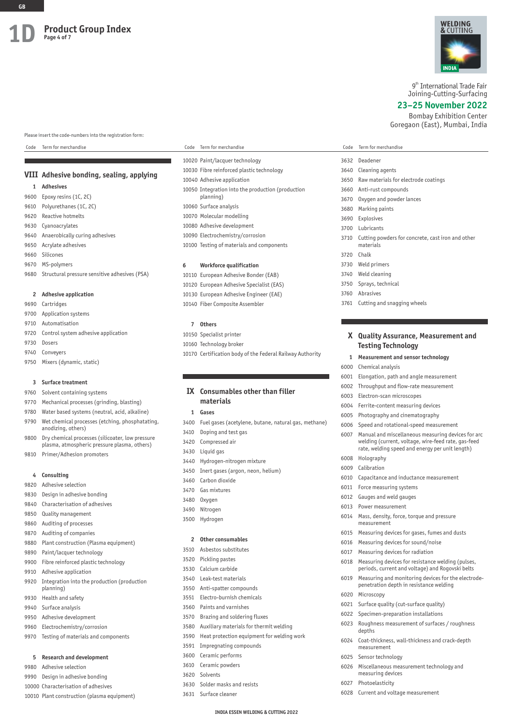Please insert the code-numbers into the registration form:

#### Code Term for merchandise Code Term for merchandise Code Term for merchandise

# **VIII Adhesive bonding, sealing, applying**

# **1 Adhesives**

- 9600 Epoxy resins (1C, 2C) 9610 Polyurethanes (1C, 2C) 9620 Reactive hotmelts 9630 Cyanoacrylates 9640 Anaerobically curing adhesives 9650 Acrylate adhesives 9660 Silicones 9670 MS-polymers 9680 Structural pressure sensitive adhesives (PSA) **2 Adhesive application**
- 9690 Cartridges
- 9700 Application systems
- 9710 Automatisation
- 9720 Control system adhesive application
- 9730 Dosers
- 9740 Conveyers
- 9750 Mixers (dynamic, static)

#### **3 Surface treatment**

- 9760 Solvent containing systems
- 9770 Mechanical processes (grinding, blasting)
- 9780 Water based systems (neutral, acid, alkaline)
- 9790 Wet chemical processes (etching, phosphatating, anodizing, others)
- 9800 Dry chemical processes (silicoater, low pressure plasma, atmospheric pressure plasma, others)
- 9810 Primer/Adhesion promoters

# **4 Consulting**

- 9820 Adhesive selection
- 9830 Design in adhesive bonding
- 9840 Characterisation of adhesives
- 9850 Quality management
- 9860 Auditing of processes
- 9870 Auditing of companies
- 9880 Plant construction (Plasma equipment)
- 9890 Paint/lacquer technology
- 9900 Fibre reinforced plastic technology
- 9910 Adhesive application
- 9920 Integration into the production (production planning)
- 9930 Health and safety
- 9940 Surface analysis
- 9950 Adhesive development
- 9960 Electrochemistry/corrosion
- 9970 Testing of materials and components

#### **5 Research and development**

- 9980 Adhesive selection
- 9990 Design in adhesive bonding
- 10000 Characterisation of adhesives
- 10010 Plant construction (plasma equipment)

# 10020 Paint/lacquer technology 10030 Fibre reinforced plastic technology 10040 Adhesive application 10050 Integration into the production (production planning) 10060 Surface analysis 10070 Molecular modelling 10080 Adhesive development 10090 Electrochemistry/corrosion

10100 Testing of materials and components

#### **6 Workforce qualification**

- 10110 European Adhesive Bonder (EAB) 10120 European Adhesive Specialist (EAS) 10130 European Adhesive Engineer (EAE)
- 10140 Fiber Composite Assembler

#### **7 Others**

- 10150 Specialist printer
- 10160 Technology broker
- 10170 Certification body of the Federal Railway Authority

# **IX Consumables other than filler materials**

#### **1 Gases**

- 3400 Fuel gases (acetylene, butane, natural gas, methane)
- 3410 Doping and test gas
- 3420 Compressed air
- 3430 Liquid gas
- 3440 Hydrogen-nitrogen mixture
- 3450 Inert gases (argon, neon, helium)
- 3460 Carbon dioxide
- 3470 Gas mixtures
- 3480 Oxygen
- 3490 Nitrogen
- 3500 Hydrogen

### **2 Other consumables**

- 3510 Asbestos substitutes
- 3520 Pickling pastes
- 3530 Calcium carbide
- 3540 Leak-test materials
- 3550 Anti-spatter compounds
- 3551 Electro-burnish chemicals
- 3560 Paints and varnishes
- 3570 Brazing and soldering fluxes
- 3580 Auxiliary materials for thermit welding
- 3590 Heat protection equipment for welding work
- 3591 Impregnating compounds
- 3600 Ceramic performs
- 3610 Ceramic powders
- 3620 Solvents
- 3630 Solder masks and resists
- 3631 Surface cleaner



9<sup>th</sup> International Trade Fair Joining-Cutting-Surfacing

**23–25 November 2022**

Bombay Exhibition Center Goregaon (East), Mumbai, India

| Code |  | Term for merchandise |
|------|--|----------------------|
|      |  |                      |

| 3632 | Deadener                                                       |
|------|----------------------------------------------------------------|
| 3640 | Cleaning agents                                                |
| 3650 | Raw materials for electrode coatings                           |
| 3660 | Anti-rust compounds                                            |
| 3670 | Oxygen and powder lances                                       |
| 3680 | Marking paints                                                 |
| 3690 | Explosives                                                     |
| 3700 | Lubricants                                                     |
| 3710 | Cutting powders for concrete, cast iron and other<br>materials |
| 3720 | Chalk                                                          |
| 3730 | Weld primers                                                   |
| 3740 | Weld cleaning                                                  |
| 3750 | Sprays, technical                                              |
| 3760 | Abrasives                                                      |
| 3761 | Cutting and snagging wheels                                    |

# **X Quality Assurance, Measurement and Testing Technology**

- **1 Measurement and sensor technology**
- 6000 Chemical analysis
- 6001 Elongation, path and angle measurement
- 6002 Throughput and flow-rate measurement
- 6003 Electron-scan microscopes
- 6004 Ferrite-content measuring devices
- 6005 Photography and cinematography
- 6006 Speed and rotational-speed measurement

6010 Capacitance and inductance measurement

6014 Mass, density, force, torque and pressure

6021 Surface quality (cut-surface quality) 6022 Specimen-preparation installations

6015 Measuring devices for gases, fumes and dusts 6016 Measuring devices for sound/noise 6017 Measuring devices for radiation

6018 Measuring devices for resistance welding (pulses, periods, current and voltage) and Rogovski belts 6019 Measuring and monitoring devices for the electrodepenetration depth in resistance welding

6023 Roughness measurement of surfaces / roughness

6024 Coat-thickness, wall-thickness and crack-depth

6026 Miscellaneous measurement technology and

- 6007 Manual and miscellaneous measuring devices for arc welding (current, voltage, wire-feed rate, gas-feed rate, welding speed and energy per unit length)
- 6008 Holography
- 6009 Calibration

6011 Force measuring systems 6012 Gauges and weld gauges 6013 Power measurement

measurement

6020 Microscopy

depths

measurement 6025 Sensor technology

measuring devices 6027 Photoelasticity

6028 Current and voltage measurement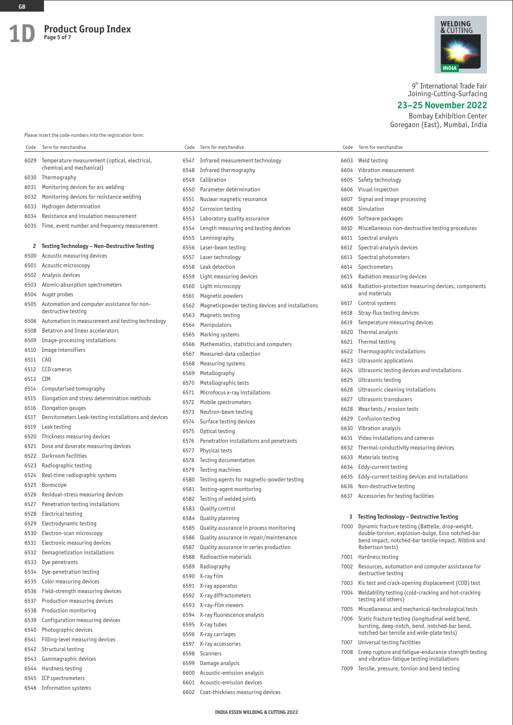

9<sup>th</sup> International Trade Fair Joining-Cutting-Surfacing

**23–25 November 2022**

Bombay Exhibition Center Goregaon (East), Mumbai, India

Please insert the code-numbers into the registration form:

| Code         | Term for merchandise                                                      | Code         | Term for merchandise                                    | Code | Term for merchandise                                                                                       |
|--------------|---------------------------------------------------------------------------|--------------|---------------------------------------------------------|------|------------------------------------------------------------------------------------------------------------|
| 6029         | Temperature measurement (optical, electrical,                             | 6547         | Infrared measurement technology                         | 6603 | Weld testing                                                                                               |
|              | chemical and mechanical)                                                  | 6548         | Infrared thermography                                   | 6604 | Vibration measurement                                                                                      |
| 6030         | Thermography                                                              | 6549         | Calibration                                             | 6605 | Safety technology                                                                                          |
| 6031         | Monitoring devices for arc welding                                        | 6550         | Parameter determination                                 | 6606 | Visual inspection                                                                                          |
| 6032         | Monitoring devices for resistance welding                                 | 6551         | Nuclear magnetic resonance                              | 6607 | Signal and image processing                                                                                |
| 6033         | Hydrogen determination                                                    | 6552         | Corrosion testing                                       | 6608 | Simulation                                                                                                 |
| 6034         | Resistance and insulation measurement                                     | 6553         | Laboratory quality assurance                            | 6609 | Software packages                                                                                          |
| 6035         | Time, event number and frequency measurement                              | 6554         | Length measuring and testing devices                    | 6610 | Miscellaneous non-destructive testing procedures                                                           |
|              |                                                                           | 6555         | Laminography                                            | 6611 | Spectral analysis                                                                                          |
| 2            | Testing Technology - Non-Destructive Testing                              | 6556         | Laser-beam testing                                      | 6612 | Spectral-analysis devices                                                                                  |
| 6500         | Acoustic measuring devices                                                | 6557         | Laser technology                                        | 6613 | Spectral photometers                                                                                       |
| 6501         | Acoustic microscopy                                                       | 6558         | Leak detection                                          | 6614 | Spectrometers                                                                                              |
| 6502         | Analysis devices                                                          | 6559         | Light measuring devices                                 | 6615 | Radiation measuring devices                                                                                |
| 6503         | Atomic-absorption spectrometers                                           | 6560         | Light microscopy                                        | 6616 | Radiation-protection measuring devices, components                                                         |
| 6504         | Auger probes                                                              | 6561         | Magnetic powders                                        |      | and materials                                                                                              |
| 6505         | Automation and computer assistance for non-                               | 6562         | Magneticpowder testing devices and installations        | 6617 | Control systems                                                                                            |
|              | destructive testing                                                       | 6563         | Magnetic testing                                        | 6618 | Stray-flux testing devices                                                                                 |
| 6506         | Automation in measurement and testing technology                          | 6564         | Manipulators                                            | 6619 | Temperature measuring devices                                                                              |
| 6508         | Betatron and linear accelerators                                          | 6565         | Marking systems                                         | 6620 | Thermal analysis                                                                                           |
| 6509         | Image-processing installations                                            | 6566         | Mathematics, statistics and computers                   | 6621 | Thermal testing                                                                                            |
| 6510         | Image intensifiers                                                        | 6567         | Measured-data collection                                | 6622 | Thermographic installations                                                                                |
| 6511         | CAQ                                                                       | 6568         | Measuring systems                                       | 6623 | Ultrasonic applications                                                                                    |
| 6512         | CCD cameras                                                               | 6569         | Metallography                                           | 6624 | Ultrasonic testing devices and installations                                                               |
| 6513         | CIM                                                                       | 6570         | Metallographic tests                                    | 6625 | Ultrasonic testing                                                                                         |
| 6514         | Computerised tomography                                                   | 6571         | Microfocus x-ray installations                          | 6626 | Ultrasonic cleaning installations                                                                          |
| 6515         | Elongation and stress determination methods                               | 6572         | Mobile spectrometers                                    | 6627 | Ultrasonic transducers                                                                                     |
| 6516<br>6517 | Elongation gauges<br>Densitometers Leak-testing installations and devices | 6573         | Neutron-beam testing                                    | 6628 | Wear tests / erosion tests                                                                                 |
| 6519         | Leak testing                                                              | 6574         | Surface testing devices                                 | 6629 | Confusion testing                                                                                          |
| 6520         | Thickness measuring devices                                               | 6575         | Optical testing                                         | 6630 | Vibration analysis                                                                                         |
| 6521         | Dose and doserate measuring devices                                       | 6576         | Penetration installations and penetrants                | 6631 | Video installations and cameras                                                                            |
| 6522         | Darkroom facilities                                                       | 6577         | Physical tests                                          | 6632 | Thermal-conductivity measuring devices                                                                     |
| 6523         | Radiographic testing                                                      | 6578         | Testing documentation                                   | 6633 | Materials testing                                                                                          |
| 6524         | Real-time radiographic systems                                            | 6579         | Testing machines                                        | 6634 | Eddy-current testing<br>Eddy-current testing devices and installations                                     |
| 6525         | Borescope                                                                 | 6580         | Testing agents for magnetic-powder testing              | 6635 | Non-destructive testing                                                                                    |
| 6526         | Residual-stress measuring devices                                         | 6581         | Testing-agent monitoring                                | 6636 |                                                                                                            |
| 6527         | Penetration testing installations                                         | 6582         | Testing of welded joints                                | 6637 | Accessories for testing facilities                                                                         |
| 6528         | Electrical testing                                                        | 6583         | Quality control                                         |      |                                                                                                            |
| 6529         | Electrodynamic testing                                                    |              | 6584 Quality planning                                   |      | 3 Testing Technology - Destructive Testing                                                                 |
| 6530         | Electron-scan microscopy                                                  |              | Quality assurance in process monitoring                 |      | 7000 Dynamic fracture testing (Battelle, drop-weight,<br>double-torsion, explosion-bulge, Esso notched-bar |
| 6531         | Electronic measuring devices                                              | 6586         | Quality assurance in repair/maintenance                 |      | bend impact, notched-bar tensile impact, Niblink and                                                       |
| 6532         | Demagnetization installations                                             | 6587         | Quality assurance in series production                  |      | Robertson tests)                                                                                           |
| 6533         | Dye penetrants                                                            | 6588         | Radioactive materials                                   |      | 7001 Hardness testing                                                                                      |
| 6534         | Dye-penetration testing                                                   | 6589         | Radiography                                             |      | 7002 Resources, automation and computer assistance for<br>destructive testing                              |
| 6535         | Color measuring devices                                                   | 6590         | X-ray film                                              | 7003 | Kic test and crack-opening displacement (COD) test                                                         |
| 6536         | Field-strength measuring devices                                          |              | 6591 X-ray apparatus                                    | 7004 | Weldability testing (cold-cracking and hot-cracking                                                        |
| 6537         | Production measuring devices                                              |              | 6592 X-ray diffractometers                              |      | testing and others)                                                                                        |
| 6538         | Production monitoring                                                     |              | 6593 X-ray-film viewers                                 | 7005 | Miscellaneous and mechanical-technological tests                                                           |
| 6539         | Configuration measuring devices                                           |              | 6594 X-ray fluorescence analysis                        | 7006 | Static fracture testing (longitudinal weld bend,                                                           |
| 6540         | Photographic devices                                                      | 6595         | X-ray tubes                                             |      | bursting, deep-notch, bend, notched-bar bend,<br>notched-bar tensile and wide-plate tests)                 |
| 6541         | Filling-level measuring devices                                           |              | 6596 X-ray carriages                                    | 7007 | Universal testing facilities                                                                               |
| 6542         | Structural testing                                                        |              | 6597 X-ray accessories                                  | 7008 | Creep rupture and fatigue-endurance strength testing                                                       |
| 6543         | Gammagraphic devices                                                      |              | 6598 Scanners                                           |      | and vibration-fatigue testing installations                                                                |
| 6544         | Hardness testing                                                          | 6599         | Damage analysis                                         | 7009 | Tensile, pressure, torsion and bend testing                                                                |
| 6545         | ICP spectrometers                                                         | 6600<br>6601 | Acoustic-emission analysis<br>Acoustic-emission devices |      |                                                                                                            |
| 6546         | Information systems                                                       | 6602         | Coat-thickness measuring devices                        |      |                                                                                                            |
|              |                                                                           |              |                                                         |      |                                                                                                            |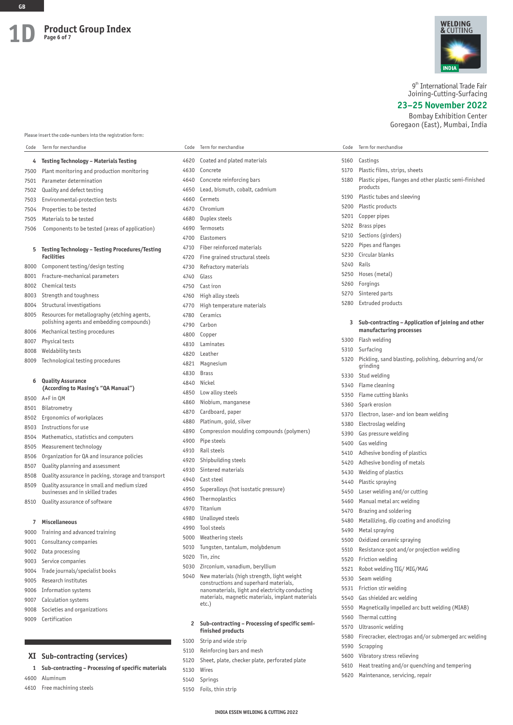

9<sup>th</sup> International Trade Fair Joining-Cutting-Surfacing

**23–25 November 2022**

Bombay Exhibition Center Goregaon (East), Mumbai, India

Please insert the code-numbers into the registration form:

| Code | Term for merchandise                                            | Code | Term for merchandise                                                                 | Code         | Term for merchandise                                                          |
|------|-----------------------------------------------------------------|------|--------------------------------------------------------------------------------------|--------------|-------------------------------------------------------------------------------|
| 4    | <b>Testing Technology - Materials Testing</b>                   | 4620 | Coated and plated materials                                                          | 5160         | Castings                                                                      |
| 7500 | Plant monitoring and production monitoring                      | 4630 | Concrete                                                                             | 5170         | Plastic films, strips, sheets                                                 |
| 7501 | Parameter determination                                         | 4640 | Concrete reinforcing bars                                                            | 5180         | Plastic pipes, flanges and other plastic semi-finished                        |
| 7502 | Quality and defect testing                                      | 4650 | Lead, bismuth, cobalt, cadmium                                                       |              | products                                                                      |
| 7503 | Environmental-protection tests                                  | 4660 | Cermets                                                                              | 5190         | Plastic tubes and sleeving                                                    |
| 7504 | Properties to be tested                                         | 4670 | Chromium                                                                             | 5200         | Plastic products                                                              |
| 7505 | Materials to be tested                                          | 4680 | Duplex steels                                                                        | 5201         | Copper pipes                                                                  |
| 7506 | Components to be tested (areas of application)                  | 4690 | Termosets                                                                            | 5202         | <b>Brass pipes</b>                                                            |
|      |                                                                 | 4700 | Elastomers                                                                           | 5210         | Sections (girders)                                                            |
| 5    | <b>Testing Technology - Testing Procedures/Testing</b>          | 4710 | Fiber reinforced materials                                                           | 5220         | Pipes and flanges                                                             |
|      | <b>Facilities</b>                                               | 4720 | Fine grained structural steels                                                       | 5230         | Circular blanks                                                               |
| 8000 | Component testing/design testing                                | 4730 | Refractory materials                                                                 | 5240         | Rails                                                                         |
| 8001 | Fracture-mechanical parameters                                  | 4740 | Glass                                                                                | 5250         | Hoses (metal)                                                                 |
| 8002 | Chemical tests                                                  | 4750 | Cast iron                                                                            | 5260         | Forgings                                                                      |
| 8003 | Strength and toughness                                          | 4760 | High alloy steels                                                                    | 5270         | Sintered parts                                                                |
| 8004 | Structural investigations                                       | 4770 | High temperature materials                                                           | 5280         | Extruded products                                                             |
| 8005 | Resources for metallography (etching agents,                    | 4780 | Ceramics                                                                             |              |                                                                               |
|      | polishing agents and embedding compounds)                       | 4790 | Carbon                                                                               | 3            | Sub-contracting – Application of joining and other<br>manufacturing processes |
| 8006 | Mechanical testing procedures                                   | 4800 | Copper                                                                               |              | Flash welding                                                                 |
| 8007 | Physical tests                                                  | 4810 | Laminates                                                                            | 5300         | Surfacing                                                                     |
| 8008 | Weldability tests                                               | 4820 | Leather                                                                              | 5310<br>5320 | Pickling, sand blasting, polishing, deburring and/or                          |
| 8009 | Technological testing procedures                                | 4821 | Magnesium                                                                            |              | grinding                                                                      |
|      |                                                                 | 4830 | <b>Brass</b>                                                                         | 5330         | Stud welding                                                                  |
| 6    | <b>Quality Assurance</b><br>(According to Masing's "QA Manual") | 4840 | Nickel                                                                               | 5340         | Flame cleaning                                                                |
| 8500 | A+Fin QM                                                        | 4850 | Low alloy steels                                                                     | 5350         | Flame cutting blanks                                                          |
| 8501 | Bilatrometry                                                    | 4860 | Niobium, manganese                                                                   | 5360         | Spark erosion                                                                 |
| 8502 | Ergonomics of workplaces                                        | 4870 | Cardboard, paper                                                                     | 5370         | Electron, laser- and ion beam welding                                         |
| 8503 | Instructions for use                                            | 4880 | Platinum, gold, silver                                                               | 5380         | Electroslag welding                                                           |
| 8504 | Mathematics, statistics and computers                           | 4890 | Compression moulding compounds (polymers)                                            | 5390         | Gas pressure welding                                                          |
| 8505 | Measurement technology                                          | 4900 | Pipe steels                                                                          | 5400         | Gas welding                                                                   |
| 8506 | Organization for QA and insurance policies                      | 4910 | Rail steels                                                                          | 5410         | Adhesive bonding of plastics                                                  |
| 8507 | Quality planning and assessment                                 | 4920 | Shipbuilding steels                                                                  | 5420         | Adhesive bonding of metals                                                    |
| 8508 | Quality assurance in packing, storage and transport             | 4930 | Sintered materials                                                                   | 5430         | Welding of plastics                                                           |
| 8509 | Quality assurance in small and medium sized                     | 4940 | Cast steel                                                                           | 5440         | Plastic spraying                                                              |
|      | businesses and in skilled trades                                | 4950 | Superalloys (hot isostatic pressure)                                                 | 5450         | Laser welding and/or cutting                                                  |
| 8510 | Quality assurance of software                                   | 4960 | Thermoplastics                                                                       | 5460         | Manual metal arc welding                                                      |
|      |                                                                 | 4970 | Titanium                                                                             | 5470         | Brazing and soldering                                                         |
|      | 7 Miscellaneous                                                 |      | 4980 Unalloyed steels                                                                | 5480         | Metallizing, dip coating and anodizing                                        |
| 9000 | Training and advanced training                                  |      | 4990 Tool steels                                                                     | 5490         | Metal spraying                                                                |
| 9001 | Consultancy companies                                           |      | 5000 Weathering steels                                                               | 5500         | Oxidized ceramic spraying                                                     |
| 9002 | Data processing                                                 | 5010 | Tungsten, tantalum, molybdenum                                                       | 5510         | Resistance spot and/or projection welding                                     |
| 9003 | Service companies                                               |      | 5020 Tin, zinc                                                                       | 5520         | Friction welding                                                              |
| 9004 | Trade journals/specialist books                                 | 5030 | Zirconium, vanadium, beryllium                                                       | 5521         | Robot welding TIG/MIG/MAG                                                     |
| 9005 | Research institutes                                             | 5040 | New materials (high strength, light weight<br>constructions and superhard materials, | 5530         | Seam welding                                                                  |
| 9006 | Information systems                                             |      | nanomaterials, light and electricity conducting                                      | 5531         | Friction stir welding                                                         |
| 9007 | Calculation systems                                             |      | materials, magnetic materials, implant materials                                     | 5540         | Gas shielded arc welding                                                      |
| 9008 | Societies and organizations                                     |      | etc.)                                                                                | 5550         | Magnetically impelled arc butt welding (MIAB)                                 |
| 9009 | Certification                                                   |      |                                                                                      | 5560         | Thermal cutting                                                               |
|      |                                                                 |      | 2 Sub-contracting - Processing of specific semi-<br>finished products                | 5570         | Ultrasonic welding                                                            |
|      |                                                                 | 5100 | Strip and wide strip                                                                 | 5580         | Firecracker, electrogas and/or submerged arc welding                          |
|      |                                                                 | 5110 | Reinforcing bars and mesh                                                            | 5590         | Scrapping                                                                     |
|      | XI Sub-contracting (services)                                   | 5120 | Sheet, plate, checker plate, perforated plate                                        | 5600         | Vibratory stress relieving                                                    |
|      |                                                                 |      |                                                                                      | 5610         | Hoat tracting and lor quanching and tomporing                                 |

- **1 Sub-contracting Processing of specific materials**
- 4600 Aluminum

4610 Free machining steels

- 5130 Wires 5140 Springs
- 5150 Foils, thin strip
- 5610 Heat treating and/or quenching and tempering
- 5620 Maintenance, servicing, repair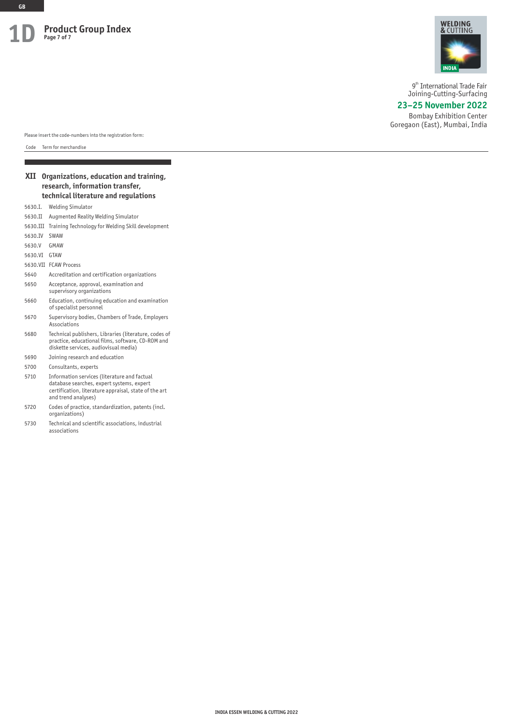

9<sup>th</sup> International Trade Fair Joining-Cutting-Surfacing

# **23–25 November 2022**

Bombay Exhibition Center Goregaon (East), Mumbai, India

Please insert the code-numbers into the registration form:

Code Term for merchandise

# **XII Organizations, education and training, research, information transfer, technical literature and regulations** 5630.I. Welding Simulator 5630.II Augmented Reality Welding Simulator 5630.III Training Technology for Welding Skill development 5630.IV SWAW 5630.V GMAW 5630.VI GTAW

- 5630.VII FCAW Process
- 5640 Accreditation and certification organizations
- 5650 Acceptance, approval, examination and supervisory organizations
- 5660 Education, continuing education and examination of specialist personnel
- 5670 Supervisory bodies, Chambers of Trade, Employers Associations
- 5680 Technical publishers, Libraries (literature, codes of practice, educational films, software, CD-ROM and diskette services, audiovisual media)
- 5690 Joining research and education
- 5700 Consultants, experts
- 5710 Information services (literature and factual database searches, expert systems, expert certification, literature appraisal, state of the art and trend analyses)
- 5720 Codes of practice, standardization, patents (incl. organizations)
- 5730 Technical and scientific associations, industrial associations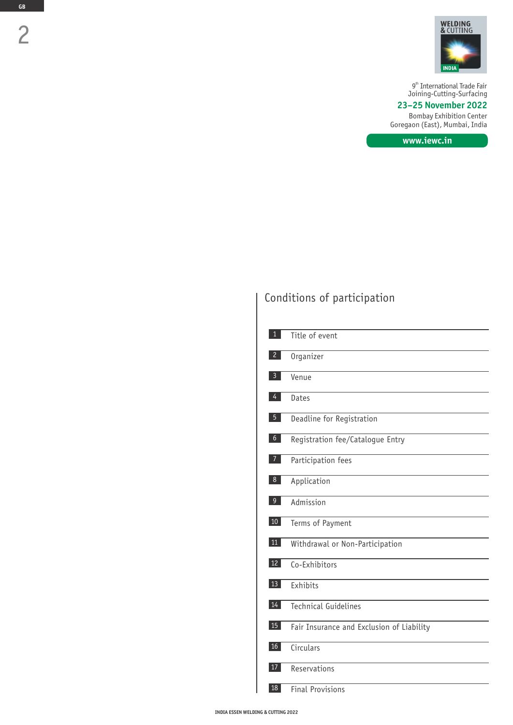

9<sup>th</sup> International Trade Fair Joining-Cutting-Surfacing

# Bombay Exhibition Center **23–25 November 2022**

Goregaon (East), Mumbai, India

**www.iewc.in**

# Conditions of participation

|                 | Title of event                            |
|-----------------|-------------------------------------------|
| 2               | Organizer                                 |
| 3               | Venue                                     |
| 4               | Dates                                     |
| 5 <sup>5</sup>  | Deadline for Registration                 |
| 6               | Registration fee/Catalogue Entry          |
| 7               | Participation fees                        |
| $8\phantom{1}$  | Application                               |
| $\overline{9}$  | Admission                                 |
| 10              | Terms of Payment                          |
| 11              | Withdrawal or Non-Participation           |
| 12              | Co-Exhibitors                             |
| 13 <sup>7</sup> | Exhibits                                  |
| 14              | Technical Guidelines                      |
| 15              | Fair Insurance and Exclusion of Liability |
| 16 <sup>1</sup> | Circulars                                 |
| 17              | Reservations                              |
| 18              | <b>Final Provisions</b>                   |

**GB**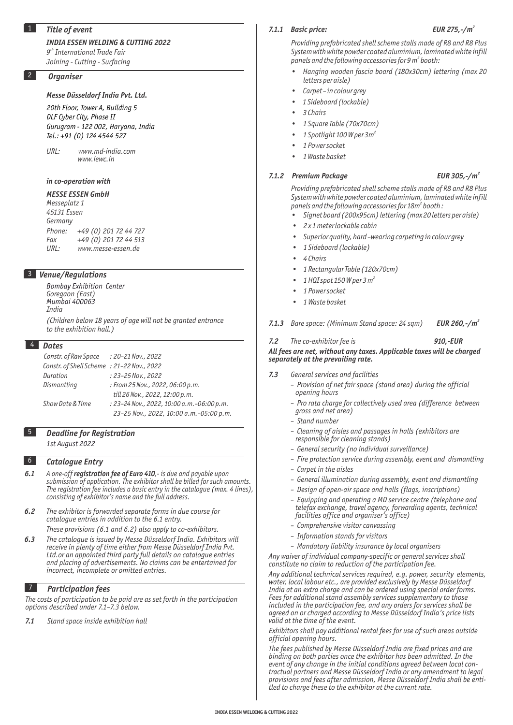# 1 *Title of event*

# *INDIA ESSEN WELDING & CUTTING 2022*

*th 9 International Trade Fair Joining - Cutting - Surfacing*

# 2 *Organiser*

# *Messe Düsseldorf India Pvt. Ltd.*

*20th Floor, Tower A, Building 5 DLF Cyber City, Phase II Gurugram - 122 002, Haryana, India Tel.: +91 (0) 124 4544 527*

*URL: www.md-india.com www.iewc.in* 

# *in co-operation with*

# *MESSE ESSEN GmbH Messeplatz 1 45131 Essen Germany Phone: +49 (0) 201 72 44 727 Fax +49 (0) 201 72 44 513 URL: www.messe-essen.de*

# 3 *Venue/Regulations*

*Bombay Exhibition Center Goregaon (East) Mumbai 400063 India* 

*(Children below 18 years of age will not be granted entrance to the exhibition hall.)*

# 4 *Dates*

| Constr. of Raw Space : 20-21 Nov., 2022   |                                            |
|-------------------------------------------|--------------------------------------------|
| Constr. of Shell Scheme: 21-22 Nov., 2022 |                                            |
| Duration                                  | $: 23 - 25$ Nov., 2022                     |
| Dismantling                               | : From 25 Nov., 2022, 06:00 p.m.           |
|                                           | till 26 Nov., 2022, 12:00 p.m.             |
| Show Date & Time                          | : 23-24 Nov., 2022, 10:00 a.m. -06:00 p.m. |
|                                           | 23-25 Nov., 2022, 10:00 a.m.-05:00 p.m.    |

# 5 *Deadline for Registration*

*1st August 2022*

# 6 *Catalogue Entry*

- *6.1 A one-off registration fee of Euro 410,- is due and payable upon submission of application. The exhibitor shall be billed for such amounts. The registration fee includes a basic entry in the catalogue (max. 4 lines), consisting of exhibitor's name and the full address.*
- *6.2 The exhibitor is forwarded separate forms in due course for catalogue entries in addition to the 6.1 entry. These provisions (6.1 and 6.2) also apply to co-exhibitors.*
- *6.3 The catalogue is issued by Messe Düsseldorf India. Exhibitors will receive in plenty of time either from Messe Düsseldorf India Pvt. Ltd.or an appointed third party full details on catalogue entries and placing of advertisements. No claims can be entertained for incorrect, incomplete or omitted entries.*

# 7 *Participation fees*

*The costs of participation to be paid are as set forth in the participation options described under 7.1–7.3 below.*

*7.1 Stand space inside exhibition hall*

## *7.1.1 Basic price:*

# *2 EUR 275,-/m*

*Providing prefabricated shell scheme stalls made of R8 and R8 Plus System with white powder coated aluminium, laminated white infill 2 panels and the following accessories for 9 m booth:*

- *Hanging wooden fascia board (180x30cm) lettering (max 20 letters per aisle)*
- *Carpet in colour grey*
- *1 Sideboard (lockable)*
- *3 Chairs*
- *1 Square Table (70x70cm)*
- *<sup>2</sup> 1 Spotlight 100 W per 3m*
- *1 Power socket*
- *1 Waste basket*

# *7.1.2 Premium Package*

# *-/m*

*Providing prefabricated shell scheme stalls made of R8 and R8 Plus System with white powder coated aluminium, laminated white infill 2 panels and the following accessories for 18m booth :*

- *Signet board (200x95cm) lettering (max 20 letters per aisle)*
- *2 x 1 meter lockable cabin*
- *Superior quality, hard –wearing carpeting in colour grey*
	- *1 Sideboard (lockable)*
- *4 Chairs*
- *1 Rectangular Table (120x70cm)*
- *1 HQI spot 150 W per 3 <sup>2</sup> m*
- *1 Power socket*
- *1 Waste basket*
- *7.1.3 Bare space: (Minimum Stand space: 24 sqm) <sup>2</sup> EUR 260,-/m*

# *7.2 The co-exhibitor fee is 910,-EUR All fees are net, without any taxes. Applicable taxes will be charged separately at the prevailing rate.*

- *7.3 General services and facilities*
	- *Provision of net fair space (stand area) during the official opening hours*
	- *Pro rata charge for collectively used area (difference between gross and net area)*
	- *Stand number*
	- *Cleaning of aisles and passages in halls (exhibitors are responsible for cleaning stands)*
	- *General security (no individual surveillance)*
	- *Fire protection service during assembly, event and dismantling*
	- *Carpet in the aisles*
	- *General illumination during assembly, event and dismantling*
	- *Design of open-air space and halls (flags, inscriptions)*
	- *Equipping and operating a MD service centre (telephone and telefax exchange, travel agency, forwarding agents, technical facilities office and organiser's office)*
	- *Comprehensive visitor canvassing*
	- *Information stands for visitors*
	- *Mandatory liability insurance by local organisers*

*Any waiver of individual company-specific or general services shall constitute no claim to reduction of the participation fee.*

*Any additional technical services required, e.g. power, security elements, water, local labour etc., are provided exclusively by Messe Düsseldorf India at an extra charge and can be ordered using special order forms. Fees for additional stand assembly services supplementary to those included in the participation fee, and any orders for services shall be agreed on or charged according to Messe Düsseldorf India's price lists valid at the time of the event.*

*Exhibitors shall pay additional rental fees for use of such areas outside official opening hours.*

*The fees published by Messe Düsseldorf India are fixed prices and are binding on both parties once the exhibitor has been admitted. In the event of any change in the initial conditions agreed between local contractual partners and Messe Düsseldorf India or any amendment to legal provisions and fees after admission, Messe Düsseldorf India shall be entitled to charge these to the exhibitor at the current rate.*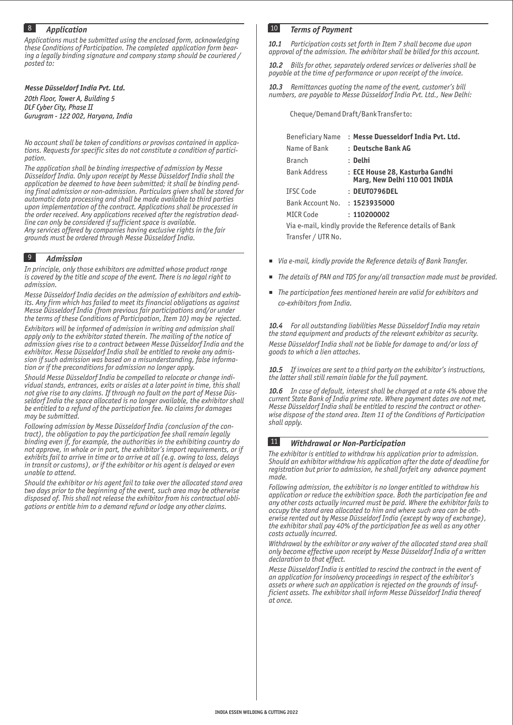# 8 *Application*

*Applications must be submitted using the enclosed form, acknowledging these Conditions of Participation. The completed application form bearing a legally binding signature and company stamp should be couriered / posted to:* 

*Messe Düsseldorf India Pvt. Ltd.*

*20th Floor, Tower A, Building 5 DLF Cyber City, Phase II Gurugram - 122 002, Haryana, India* Cheque/Demand Draft/Bank Transfer to:

*No account shall be taken of conditions or provisos contained in applications. Requests for specific sites do not constitute a condition of participation.*

*The application shall be binding irrespective of admission by Messe Düsseldorf India. Only upon receipt by Messe Düsseldorf India shall the application be deemed to have been submitted; it shall be binding pending final admission or non-admission. Particulars given shall be stored for automatic data processing and shall be made available to third parties upon implementation of the contract. Applications shall be processed in the order received. Any applications received after the registration deadline can only be considered if sufficient space is available. Any services offered by companies having exclusive rights in the fair grounds must be ordered through Messe Düsseldorf India.*

# 9 *Admission*

*In principle, only those exhibitors are admitted whose product range is covered by the title and scope of the event. There is no legal right to admission.*

*Messe Düsseldorf India decides on the admission of exhibitors and exhibits. Any firm which has failed to meet its financial obligations as against Messe Düsseldorf India (from previous fair participations and/or under the terms of these Conditions of Participation, Item 10) may be rejected.*

*Exhibitors will be informed of admission in writing and admission shall apply only to the exhibitor stated therein. The mailing of the notice of admission gives rise to a contract between Messe Düsseldorf India and the exhibitor. Messe Düsseldorf India shall be entitled to revoke any admission if such admission was based on a misunderstanding, false information or if the preconditions for admission no longer apply.*

*Should Messe Düsseldorf India be compelled to relocate or change individual stands, entrances, exits or aisles at a later point in time, this shall not give rise to any claims. If through no fault on the part of Messe Düsseldorf India the space allocated is no longer available, the exhibitor shall be entitled to a refund of the participation fee. No claims for damages may be submitted.*

*Following admission by Messe Düsseldorf India (conclusion of the contract), the obligation to pay the participation fee shall remain legally binding even if, for example, the authorities in the exhibiting country do not approve, in whole or in part, the exhibitor's import requirements, or if exhibits fail to arrive in time or to arrive at all (e.g. owing to loss, delays in transit or customs), or if the exhibitor or his agent is delayed or even unable to attend.*

*Should the exhibitor or his agent fail to take over the allocated stand area two days prior to the beginning of the event, such area may be otherwise disposed of. This shall not release the exhibitor from his contractual obligations or entitle him to a demand refund or lodge any other claims.* 

# 10 *Terms of Payment*

*10.1 Participation costs set forth in Item 7 shall become due upon approval of the admission. The exhibitor shall be billed for this account.*

*10.2 Bills for other, separately ordered services or deliveries shall be payable at the time of performance or upon receipt of the invoice.*

*10.3 Remittances quoting the name of the event, customer's bill numbers, are payable to Messe Düsseldorf India Pvt. Ltd., New Delhi:*

| Beneficiary Name                                         | : Messe Duesseldorf India Pvt. Ltd.                              |  |  |
|----------------------------------------------------------|------------------------------------------------------------------|--|--|
| Name of Bank                                             | : Deutsche Bank AG                                               |  |  |
| <b>Branch</b>                                            | : Delhi                                                          |  |  |
| <b>Bank Address</b>                                      | : ECE House 28, Kasturba Gandhi<br>Marg, New Delhi 110 001 INDIA |  |  |
| <b>TESC Code</b>                                         | $:$ DEUT0796DEL                                                  |  |  |
| Bank Account No.                                         | : 1523935000                                                     |  |  |
| MICR Code                                                | : 110200002                                                      |  |  |
| Via e-mail, kindly provide the Reference details of Bank |                                                                  |  |  |
| Transfer / UTR No.                                       |                                                                  |  |  |
|                                                          |                                                                  |  |  |

- *Via e-mail, kindly provide the Reference details of Bank Transfer.*
- *The details of PAN and TDS for any/all transaction made must be provided.*  $\mathbf{H}$  .
- *The participation fees mentioned herein are valid for exhibitors and co-exhibitors from India.*

*10.4 For all outstanding liabilities Messe Düsseldorf India may retain the stand equipment and products of the relevant exhibitor as security. Messe Düsseldorf India shall not be liable for damage to and/or loss of goods to which a lien attaches.*

*10.5 If invoices are sent to a third party on the exhibitor's instructions, the latter shall still remain liable for the full payment.*

*10.6 In case of default, interest shall be charged at a rate 4% above the current State Bank of India prime rate. Where payment dates are not met, Messe Düsseldorf India shall be entitled to rescind the contract or otherwise dispose of the stand area. Item 11 of the Conditions of Participation shall apply.*

# 11 *Withdrawal or Non-Participation*

*The exhibitor is entitled to withdraw his application prior to admission. Should an exhibitor withdraw his application after the date of deadline for registration but prior to admission, he shall forfeit any advance payment made.*

*Following admission, the exhibitor is no longer entitled to withdraw his application or reduce the exhibition space. Both the participation fee and any other costs actually incurred must be paid. Where the exhibitor fails to occupy the stand area allocated to him and where such area can be otherwise rented out by Messe Düsseldorf India (except by way of exchange), the exhibitor shall pay 40% of the participation fee as well as any other costs actually incurred.*

*Withdrawal by the exhibitor or any waiver of the allocated stand area shall only become effective upon receipt by Messe Düsseldorf India of a written declaration to that effect.*

*Messe Düsseldorf India is entitled to rescind the contract in the event of an application for insolvency proceedings in respect of the exhibitor's assets or where such an application is rejected on the grounds of insufficient assets. The exhibitor shall inform Messe Düsseldorf India thereof at once.*